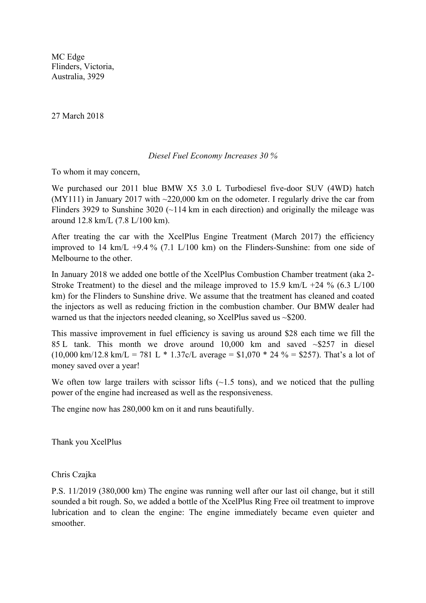MC Edge Flinders, Victoria, Australia, 3929

27 March 2018

## *Diesel Fuel Economy Increases 30 %*

To whom it may concern,

We purchased our 2011 blue BMW X5 3.0 L Turbodiesel five-door SUV (4WD) hatch (MY111) in January 2017 with  $\sim$ 220,000 km on the odometer. I regularly drive the car from Flinders 3929 to Sunshine 3020 ( $\sim$ 114 km in each direction) and originally the mileage was around 12.8 km/L (7.8 L/100 km).

After treating the car with the XcelPlus Engine Treatment (March 2017) the efficiency improved to 14 km/L +9.4 % (7.1 L/100 km) on the Flinders-Sunshine: from one side of Melbourne to the other.

In January 2018 we added one bottle of the XcelPlus Combustion Chamber treatment (aka 2- Stroke Treatment) to the diesel and the mileage improved to 15.9 km/L +24 % (6.3 L/100) km) for the Flinders to Sunshine drive. We assume that the treatment has cleaned and coated the injectors as well as reducing friction in the combustion chamber. Our BMW dealer had warned us that the injectors needed cleaning, so XcelPlus saved us ~\$200.

This massive improvement in fuel efficiency is saving us around \$28 each time we fill the 85 L tank. This month we drove around 10,000 km and saved ~\$257 in diesel  $(10,000 \text{ km}/12.8 \text{ km/L} = 781 \text{ L} * 1.37 \text{ c/L}$  average = \$1,070 \* 24 % = \$257). That's a lot of money saved over a year!

We often tow large trailers with scissor lifts  $(-1.5 \text{ tons})$ , and we noticed that the pulling power of the engine had increased as well as the responsiveness.

The engine now has 280,000 km on it and runs beautifully.

Thank you XcelPlus

Chris Czajka

P.S. 11/2019 (380,000 km) The engine was running well after our last oil change, but it still sounded a bit rough. So, we added a bottle of the XcelPlus Ring Free oil treatment to improve lubrication and to clean the engine: The engine immediately became even quieter and smoother.